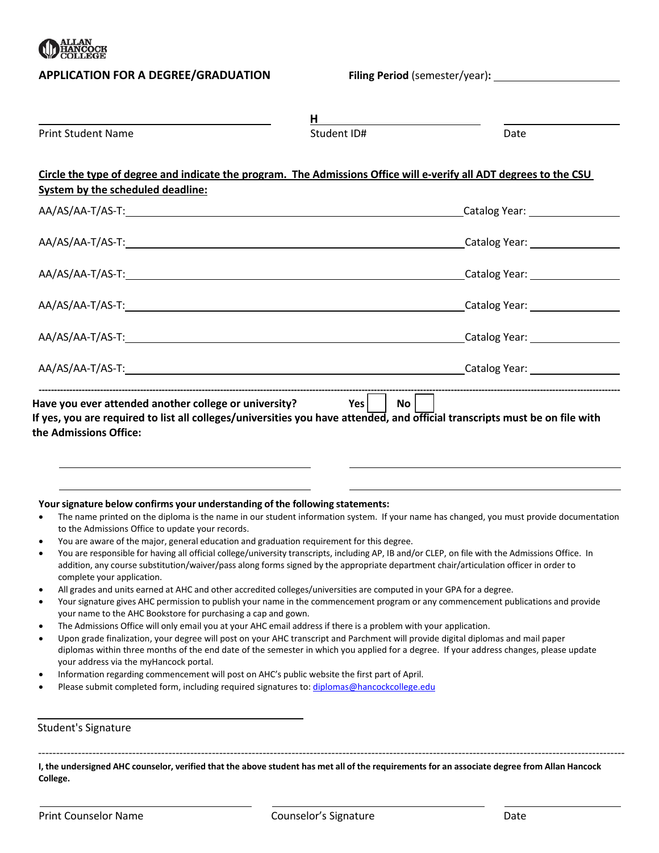

## **APPLICATION FOR A DEGREE/GRADUATION Filing Period** (semester/year)**:**

| <b>Print Student Name</b>                                                                                                                      | H.<br>Student ID#                                                                                                                                                                                                                                                                                                                                                                              | Date |
|------------------------------------------------------------------------------------------------------------------------------------------------|------------------------------------------------------------------------------------------------------------------------------------------------------------------------------------------------------------------------------------------------------------------------------------------------------------------------------------------------------------------------------------------------|------|
| System by the scheduled deadline:                                                                                                              | Circle the type of degree and indicate the program. The Admissions Office will e-verify all ADT degrees to the CSU                                                                                                                                                                                                                                                                             |      |
|                                                                                                                                                |                                                                                                                                                                                                                                                                                                                                                                                                |      |
|                                                                                                                                                |                                                                                                                                                                                                                                                                                                                                                                                                |      |
|                                                                                                                                                |                                                                                                                                                                                                                                                                                                                                                                                                |      |
|                                                                                                                                                |                                                                                                                                                                                                                                                                                                                                                                                                |      |
|                                                                                                                                                |                                                                                                                                                                                                                                                                                                                                                                                                |      |
|                                                                                                                                                | AA/AS/AA-T/AS-T: Catalog Year: Catalog Year: Catalog Year: Catalog Year: Catalog Year: Catalog Year:                                                                                                                                                                                                                                                                                           |      |
| the Admissions Office:                                                                                                                         |                                                                                                                                                                                                                                                                                                                                                                                                |      |
| Your signature below confirms your understanding of the following statements:<br>$\bullet$<br>to the Admissions Office to update your records. | The name printed on the diploma is the name in our student information system. If your name has changed, you must provide documentation                                                                                                                                                                                                                                                        |      |
| $\bullet$<br>$\bullet$<br>complete your application.                                                                                           | You are aware of the major, general education and graduation requirement for this degree.<br>You are responsible for having all official college/university transcripts, including AP, IB and/or CLEP, on file with the Admissions Office. In<br>addition, any course substitution/waiver/pass along forms signed by the appropriate department chair/articulation officer in order to         |      |
| your name to the AHC Bookstore for purchasing a cap and gown.                                                                                  | All grades and units earned at AHC and other accredited colleges/universities are computed in your GPA for a degree.<br>Your signature gives AHC permission to publish your name in the commencement program or any commencement publications and provide                                                                                                                                      |      |
| $\bullet$<br>$\bullet$<br>your address via the myHancock portal.                                                                               | The Admissions Office will only email you at your AHC email address if there is a problem with your application.<br>Upon grade finalization, your degree will post on your AHC transcript and Parchment will provide digital diplomas and mail paper<br>diplomas within three months of the end date of the semester in which you applied for a degree. If your address changes, please update |      |
|                                                                                                                                                | Information regarding commencement will post on AHC's public website the first part of April.<br>Please submit completed form, including required signatures to: diplomas@hancockcollege.edu                                                                                                                                                                                                   |      |

## Student's Signature

**I, the undersigned AHC counselor, verified that the above student has met all of the requirements for an associate degree from Allan Hancock College.**

------------------------------------------------------------------------------------------------------------------------------------------------------------------